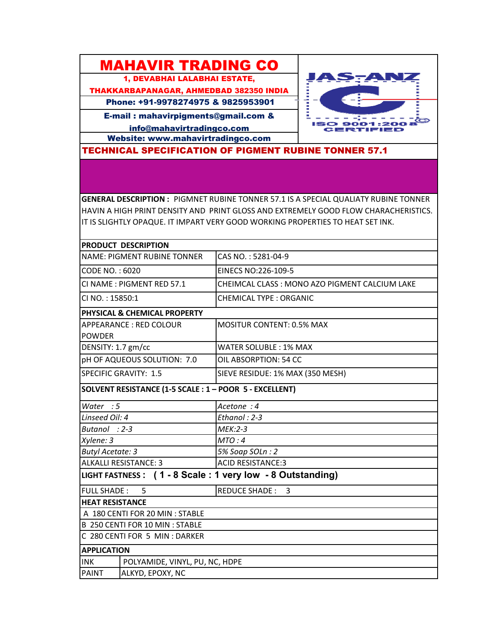## MAHAVIR TRADING CO

1, DEVABHAI LALABHAI ESTATE,

THAKKARBAPANAGAR, AHMEDBAD 382350 INDIA

Phone: +91-9978274975 & 9825953901

E-mail : mahavirpigments@gmail.com &

info@mahavirtradingco.com

Website: www.mahavirtradingco.com



TECHNICAL SPECIFICATION OF PIGMENT RUBINE TONNER 57.1

**GENERAL DESCRIPTION :** PIGMNET RUBINE TONNER 57.1 IS A SPECIAL QUALIATY RUBINE TONNER HAVIN A HIGH PRINT DENSITY AND PRINT GLOSS AND EXTREMELY GOOD FLOW CHARACHERISTICS. IT IS SLIGHTLY OPAQUE. IT IMPART VERY GOOD WORKING PROPERTIES TO HEAT SET INK.

| PRODUCT DESCRIPTION                                       |                                               |
|-----------------------------------------------------------|-----------------------------------------------|
| <b>NAME: PIGMENT RUBINE TONNER</b>                        | CAS NO.: 5281-04-9                            |
| CODE NO.: 6020                                            | EINECS NO:226-109-5                           |
| CI NAME: PIGMENT RED 57.1                                 | CHEIMCAL CLASS: MONO AZO PIGMENT CALCIUM LAKE |
| CI NO.: 15850:1                                           | <b>CHEMICAL TYPE: ORGANIC</b>                 |
| <b>PHYSICAL &amp; CHEMICAL PROPERTY</b>                   |                                               |
| <b>APPEARANCE: RED COLOUR</b>                             | <b>MOSITUR CONTENT: 0.5% MAX</b>              |
| <b>POWDER</b>                                             |                                               |
| DENSITY: 1.7 gm/cc                                        | <b>WATER SOLUBLE: 1% MAX</b>                  |
| pH OF AQUEOUS SOLUTION: 7.0                               | OIL ABSORPTION: 54 CC                         |
| <b>SPECIFIC GRAVITY: 1.5</b>                              | SIEVE RESIDUE: 1% MAX (350 MESH)              |
| SOLVENT RESISTANCE (1-5 SCALE : 1 - POOR 5 - EXCELLENT)   |                                               |
| Water $:5$                                                | Acetone : 4                                   |
| Linseed Oil: 4                                            | Ethanol: 2-3                                  |
| Butanol : 2-3                                             | $MEK:2-3$                                     |
| Xylene: 3                                                 | MTO:4                                         |
| <b>Butyl Acetate: 3</b>                                   | 5% Soap SOLn: 2                               |
| <b>ALKALLI RESISTANCE: 3</b>                              | <b>ACID RESISTANCE:3</b>                      |
| LIGHT FASTNESS: (1 - 8 Scale: 1 very low - 8 Outstanding) |                                               |
| <b>FULL SHADE:</b><br>5                                   | REDUCE SHADE: 3                               |
| <b>HEAT RESISTANCE</b>                                    |                                               |
| A 180 CENTI FOR 20 MIN : STABLE                           |                                               |
| B 250 CENTI FOR 10 MIN : STABLE                           |                                               |
| C 280 CENTI FOR 5 MIN : DARKER                            |                                               |
| <b>APPLICATION</b>                                        |                                               |
| <b>INK</b><br>POLYAMIDE, VINYL, PU, NC, HDPE              |                                               |
| <b>PAINT</b><br>ALKYD, EPOXY, NC                          |                                               |